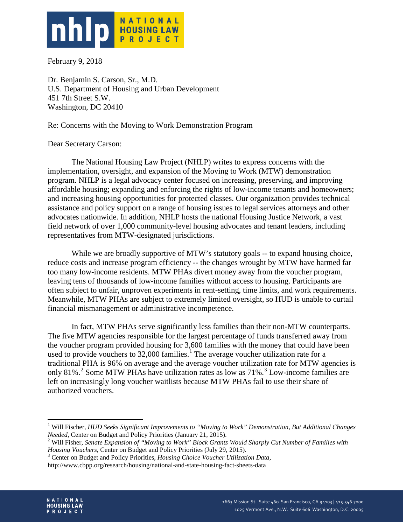

February 9, 2018

Dr. Benjamin S. Carson, Sr., M.D. U.S. Department of Housing and Urban Development 451 7th Street S.W. Washington, DC 20410

Re: Concerns with the Moving to Work Demonstration Program

## Dear Secretary Carson:

The National Housing Law Project (NHLP) writes to express concerns with the implementation, oversight, and expansion of the Moving to Work (MTW) demonstration program. NHLP is a legal advocacy center focused on increasing, preserving, and improving affordable housing; expanding and enforcing the rights of low-income tenants and homeowners; and increasing housing opportunities for protected classes. Our organization provides technical assistance and policy support on a range of housing issues to legal services attorneys and other advocates nationwide. In addition, NHLP hosts the national Housing Justice Network, a vast field network of over 1,000 community-level housing advocates and tenant leaders, including representatives from MTW-designated jurisdictions.

While we are broadly supportive of MTW's statutory goals -- to expand housing choice, reduce costs and increase program efficiency -- the changes wrought by MTW have harmed far too many low-income residents. MTW PHAs divert money away from the voucher program, leaving tens of thousands of low-income families without access to housing. Participants are often subject to unfair, unproven experiments in rent-setting, time limits, and work requirements. Meanwhile, MTW PHAs are subject to extremely limited oversight, so HUD is unable to curtail financial mismanagement or administrative incompetence.

In fact, MTW PHAs serve significantly less families than their non-MTW counterparts. The five MTW agencies responsible for the largest percentage of funds transferred away from the voucher program provided housing for 3,600 families with the money that could have been used to provide vouchers to  $32,000$  families.<sup>[1](#page-0-0)</sup> The average voucher utilization rate for a traditional PHA is 96% on average and the average voucher utilization rate for MTW agencies is only 81%.<sup>[2](#page-0-1)</sup> Some MTW PHAs have utilization rates as low as  $71\%$ .<sup>[3](#page-0-2)</sup> Low-income families are left on increasingly long voucher waitlists because MTW PHAs fail to use their share of authorized vouchers.

<sup>3</sup> Center on Budget and Policy Priorities, *Housing Choice Voucher Utilization Data*,

<span id="page-0-2"></span>http://www.cbpp.org/research/housing/national-and-state-housing-fact-sheets-data



<span id="page-0-0"></span><sup>&</sup>lt;sup>1</sup> Will Fischer, *HUD Seeks Significant Improvements to "Moving to Work" Demonstration, But Additional Changes Needed, Center on Budget and Policy Priorities (January 21, 2015).* 

<span id="page-0-1"></span><sup>&</sup>lt;sup>2</sup> Will Fisher, *Senate Expansion of "Moving to Work" Block Grants Would Sharply Cut Number of Families with Housing Vouchers, Center on Budget and Policy Priorities (July 29, 2015).*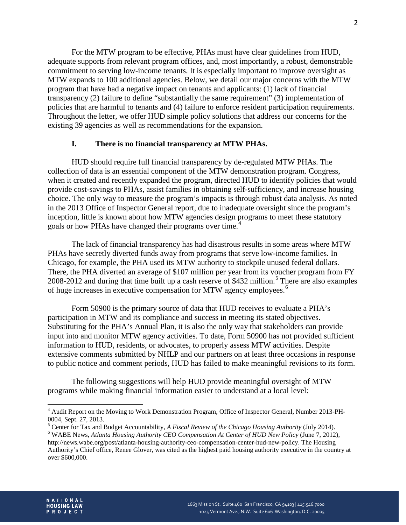For the MTW program to be effective, PHAs must have clear guidelines from HUD, adequate supports from relevant program offices, and, most importantly, a robust, demonstrable commitment to serving low-income tenants. It is especially important to improve oversight as MTW expands to 100 additional agencies. Below, we detail our major concerns with the MTW program that have had a negative impact on tenants and applicants: (1) lack of financial transparency (2) failure to define "substantially the same requirement" (3) implementation of policies that are harmful to tenants and (4) failure to enforce resident participation requirements. Throughout the letter, we offer HUD simple policy solutions that address our concerns for the existing 39 agencies as well as recommendations for the expansion.

### **I. There is no financial transparency at MTW PHAs.**

HUD should require full financial transparency by de-regulated MTW PHAs. The collection of data is an essential component of the MTW demonstration program. Congress, when it created and recently expanded the program, directed HUD to identify policies that would provide cost-savings to PHAs, assist families in obtaining self-sufficiency, and increase housing choice. The only way to measure the program's impacts is through robust data analysis. As noted in the 2013 Office of Inspector General report, due to inadequate oversight since the program's inception, little is known about how MTW agencies design programs to meet these statutory goals or how PHAs have changed their programs over time.<sup>[4](#page-1-0)</sup>

The lack of financial transparency has had disastrous results in some areas where MTW PHAs have secretly diverted funds away from programs that serve low-income families. In Chicago, for example, the PHA used its MTW authority to stockpile unused federal dollars. There, the PHA diverted an average of \$107 million per year from its voucher program from FY 2008-2012 and during that time built up a cash reserve of \$432 million.<sup>[5](#page-1-1)</sup> There are also examples of huge increases in executive compensation for MTW agency employees.<sup>[6](#page-1-2)</sup>

Form 50900 is the primary source of data that HUD receives to evaluate a PHA's participation in MTW and its compliance and success in meeting its stated objectives. Substituting for the PHA's Annual Plan, it is also the only way that stakeholders can provide input into and monitor MTW agency activities. To date, Form 50900 has not provided sufficient information to HUD, residents, or advocates, to properly assess MTW activities. Despite extensive comments submitted by NHLP and our partners on at least three occasions in response to public notice and comment periods, HUD has failed to make meaningful revisions to its form.

The following suggestions will help HUD provide meaningful oversight of MTW programs while making financial information easier to understand at a local level:



<span id="page-1-0"></span><sup>&</sup>lt;sup>4</sup> Audit Report on the Moving to Work Demonstration Program, Office of Inspector General, Number 2013-PH-0004, Sept. 27, 2013.<br><sup>5</sup> Center for Tax and Budget Accountability, A Fiscal Review of the Chicago Housing Authority (July 2014).

<span id="page-1-2"></span><span id="page-1-1"></span><sup>&</sup>lt;sup>6</sup> WABE News, *Atlanta Housing Authority CEO Compensation At Center of HUD New Policy* (June 7, 2012), http://news.wabe.org/post/atlanta-housing-authority-ceo-compensation-center-hud-new-policy. The Housing Authority's Chief office, Renee Glover, was cited as the highest paid housing authority executive in the country at over \$600,000.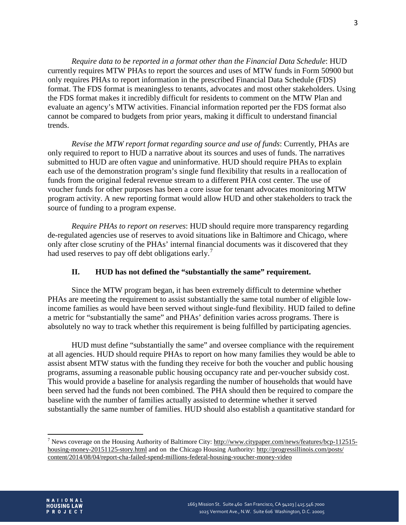*Require data to be reported in a format other than the Financial Data Schedule*: HUD currently requires MTW PHAs to report the sources and uses of MTW funds in Form 50900 but only requires PHAs to report information in the prescribed Financial Data Schedule (FDS) format. The FDS format is meaningless to tenants, advocates and most other stakeholders. Using the FDS format makes it incredibly difficult for residents to comment on the MTW Plan and evaluate an agency's MTW activities. Financial information reported per the FDS format also cannot be compared to budgets from prior years, making it difficult to understand financial trends.

*Revise the MTW report format regarding source and use of funds*: Currently, PHAs are only required to report to HUD a narrative about its sources and uses of funds. The narratives submitted to HUD are often vague and uninformative. HUD should require PHAs to explain each use of the demonstration program's single fund flexibility that results in a reallocation of funds from the original federal revenue stream to a different PHA cost center. The use of voucher funds for other purposes has been a core issue for tenant advocates monitoring MTW program activity. A new reporting format would allow HUD and other stakeholders to track the source of funding to a program expense.

*Require PHAs to report on reserves*: HUD should require more transparency regarding de-regulated agencies use of reserves to avoid situations like in Baltimore and Chicago, where only after close scrutiny of the PHAs' internal financial documents was it discovered that they had used reserves to pay off debt obligations early.<sup>[7](#page-2-0)</sup>

### **II. HUD has not defined the "substantially the same" requirement.**

Since the MTW program began, it has been extremely difficult to determine whether PHAs are meeting the requirement to assist substantially the same total number of eligible lowincome families as would have been served without single-fund flexibility. HUD failed to define a metric for "substantially the same" and PHAs' definition varies across programs. There is absolutely no way to track whether this requirement is being fulfilled by participating agencies.

HUD must define "substantially the same" and oversee compliance with the requirement at all agencies. HUD should require PHAs to report on how many families they would be able to assist absent MTW status with the funding they receive for both the voucher and public housing programs, assuming a reasonable public housing occupancy rate and per-voucher subsidy cost. This would provide a baseline for analysis regarding the number of households that would have been served had the funds not been combined. The PHA should then be required to compare the baseline with the number of families actually assisted to determine whether it served substantially the same number of families. HUD should also establish a quantitative standard for

<span id="page-2-0"></span><sup>&</sup>lt;sup>7</sup> News coverage on the Housing Authority of Baltimore City: [http://www.citypaper.com/news/features/bcp-112515](http://www.citypaper.com/news/features/bcp-112515-housing-money-20151125-story.html) [housing-money-20151125-story.html](http://www.citypaper.com/news/features/bcp-112515-housing-money-20151125-story.html) and on the Chicago Housing Authority:<http://progressillinois.com/posts/> content/2014/08/04/report-cha-failed-spend-millions-federal-housing-voucher-money-video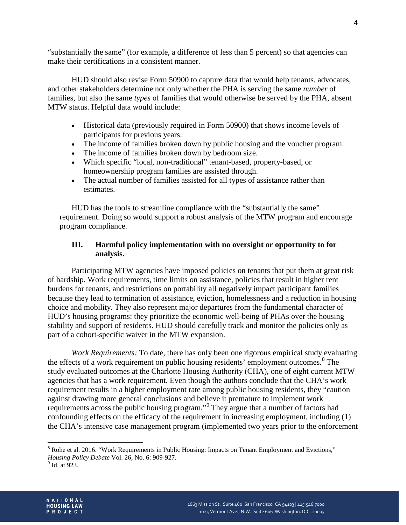"substantially the same" (for example, a difference of less than 5 percent) so that agencies can make their certifications in a consistent manner.

HUD should also revise Form 50900 to capture data that would help tenants, advocates, and other stakeholders determine not only whether the PHA is serving the same *number* of families, but also the same *types* of families that would otherwise be served by the PHA, absent MTW status. Helpful data would include:

- Historical data (previously required in Form 50900) that shows income levels of participants for previous years.
- The income of families broken down by public housing and the voucher program.
- The income of families broken down by bedroom size.
- Which specific "local, non-traditional" tenant-based, property-based, or homeownership program families are assisted through.
- The actual number of families assisted for all types of assistance rather than estimates.

HUD has the tools to streamline compliance with the "substantially the same" requirement. Doing so would support a robust analysis of the MTW program and encourage program compliance.

# **III. Harmful policy implementation with no oversight or opportunity to for analysis.**

Participating MTW agencies have imposed policies on tenants that put them at great risk of hardship. Work requirements, time limits on assistance, policies that result in higher rent burdens for tenants, and restrictions on portability all negatively impact participant families because they lead to termination of assistance, eviction, homelessness and a reduction in housing choice and mobility. They also represent major departures from the fundamental character of HUD's housing programs: they prioritize the economic well-being of PHAs over the housing stability and support of residents. HUD should carefully track and monitor the policies only as part of a cohort-specific waiver in the MTW expansion.

*Work Requirements:* To date, there has only been one rigorous empirical study evaluating the effects of a work requirement on public housing residents' employment outcomes.<sup>[8](#page-3-0)</sup> The study evaluated outcomes at the Charlotte Housing Authority (CHA), one of eight current MTW agencies that has a work requirement. Even though the authors conclude that the CHA's work requirement results in a higher employment rate among public housing residents, they "caution against drawing more general conclusions and believe it premature to implement work requirements across the public housing program."[9](#page-3-1) They argue that a number of factors had confounding effects on the efficacy of the requirement in increasing employment, including  $(1)$ the CHA's intensive case management program (implemented two years prior to the enforcement



<span id="page-3-0"></span><sup>&</sup>lt;sup>8</sup> Rohe et al. 2016. "Work Requirements in Public Housing: Impacts on Tenant Employment and Evictions," *Housing Policy Debate* Vol. 26, No. 6: 909-927.<br><sup>9</sup> Id. at 923.

<span id="page-3-1"></span>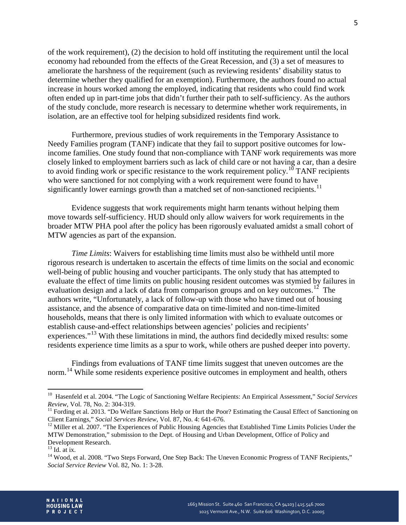of the work requirement), (2) the decision to hold off instituting the requirement until the local economy had rebounded from the effects of the Great Recession, and (3) a set of measures to ameliorate the harshness of the requirement (such as reviewing residents' disability status to determine whether they qualified for an exemption). Furthermore, the authors found no actual increase in hours worked among the employed, indicating that residents who could find work often ended up in part-time jobs that didn't further their path to self-sufficiency. As the authors of the study conclude, more research is necessary to determine whether work requirements, in isolation, are an effective tool for helping subsidized residents find work.

Furthermore, previous studies of work requirements in the Temporary Assistance to Needy Families program (TANF) indicate that they fail to support positive outcomes for lowincome families. One study found that non-compliance with TANF work requirements was more closely linked to employment barriers such as lack of child care or not having a car, than a desire to avoid finding work or specific resistance to the work requirement policy.<sup>[10](#page-4-0)</sup> TANF recipients who were sanctioned for not complying with a work requirement were found to have significantly lower earnings growth than a matched set of non-sanctioned recipients.<sup>[11](#page-4-1)</sup>

Evidence suggests that work requirements might harm tenants without helping them move towards self-sufficiency. HUD should only allow waivers for work requirements in the broader MTW PHA pool after the policy has been rigorously evaluated amidst a small cohort of MTW agencies as part of the expansion.

*Time Limits*: Waivers for establishing time limits must also be withheld until more rigorous research is undertaken to ascertain the effects of time limits on the social and economic well-being of public housing and voucher participants. The only study that has attempted to evaluate the effect of time limits on public housing resident outcomes was stymied by failures in evaluation design and a lack of data from comparison groups and on key outcomes.<sup>[12](#page-4-2)</sup> The authors write, "Unfortunately, a lack of follow-up with those who have timed out of housing assistance, and the absence of comparative data on time-limited and non-time-limited households, means that there is only limited information with which to evaluate outcomes or establish cause-and-effect relationships between agencies' policies and recipients' experiences."<sup>[13](#page-4-3)</sup> With these limitations in mind, the authors find decidedly mixed results: some residents experience time limits as a spur to work, while others are pushed deeper into poverty.

Findings from evaluations of TANF time limits suggest that uneven outcomes are the norm.<sup>[14](#page-4-4)</sup> While some residents experience positive outcomes in employment and health, others



<span id="page-4-0"></span><sup>&</sup>lt;sup>10</sup> Hasenfeld et al. 2004. "The Logic of Sanctioning Welfare Recipients: An Empirical Assessment," *Social Services Review*, Vol. 78, No. 2: 304-319.

<span id="page-4-1"></span><sup>&</sup>lt;sup>11</sup> Fording et al. 2013. "Do Welfare Sanctions Help or Hurt the Poor? Estimating the Causal Effect of Sanctioning on Client Earnings," *Social Services Review*, Vol. 87, No. 4: 641-676.

<span id="page-4-2"></span><sup>&</sup>lt;sup>12</sup> Miller et al. 2007. "The Experiences of Public Housing Agencies that Established Time Limits Policies Under the MTW Demonstration," submission to the Dept. of Housing and Urban Development, Office of Policy and Development Research.<br><sup>13</sup> Id. at ix.

<span id="page-4-4"></span><span id="page-4-3"></span><sup>&</sup>lt;sup>14</sup> Wood, et al. 2008. "Two Steps Forward, One Step Back: The Uneven Economic Progress of TANF Recipients," *Social Service Review* Vol. 82, No. 1: 3-28.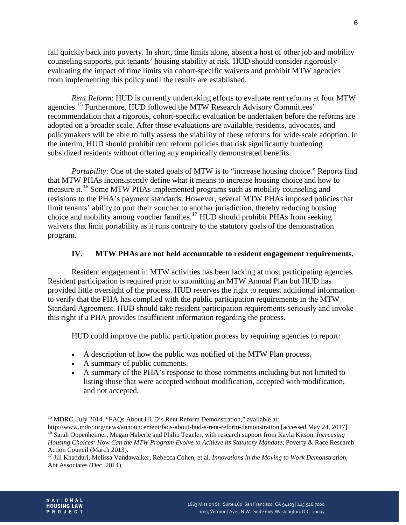fall quickly back into poverty. In short, time limits alone, absent a host of other job and mobility counseling supports, put tenants' housing stability at risk. HUD should consider rigorously evaluating the impact of time limits via cohort-specific waivers and prohibit MTW agencies from implementing this policy until the results are established.

*Rent Reform*: HUD is currently undertaking efforts to evaluate rent reforms at four MTW agencies.[15](#page-5-0) Furthermore, HUD followed the MTW Research Advisory Committees' recommendation that a rigorous, cohort-specific evaluation be undertaken before the reforms are adopted on a broader scale. After these evaluations are available, residents, advocates, and policymakers will be able to fully assess the viability of these reforms for wide-scale adoption. In the interim, HUD should prohibit rent reform policies that risk significantly burdening subsidized residents without offering any empirically demonstrated benefits.

*Portability*: One of the stated goals of MTW is to "increase housing choice." Reports find that MTW PHAs inconsistently define what it means to increase housing choice and how to measure it.<sup>[16](#page-5-1)</sup> Some MTW PHAs implemented programs such as mobility counseling and revisions to the PHA's payment standards. However, several MTW PHAs imposed policies that limit tenants' ability to port their voucher to another jurisdiction, thereby reducing housing choice and mobility among voucher families.<sup>[17](#page-5-2)</sup> HUD should prohibit PHAs from seeking waivers that limit portability as it runs contrary to the statutory goals of the demonstration program.

## **IV. MTW PHAs are not held accountable to resident engagement requirements.**

Resident engagement in MTW activities has been lacking at most participating agencies. Resident participation is required prior to submitting an MTW Annual Plan but HUD has provided little oversight of the process. HUD reserves the right to request additional information to verify that the PHA has complied with the public participation requirements in the MTW Standard Agreement. HUD should take resident participation requirements seriously and invoke this right if a PHA provides insufficient information regarding the process.

HUD could improve the public participation process by requiring agencies to report:

- A description of how the public was notified of the MTW Plan process.
- A summary of public comments.
- A summary of the PHA's response to those comments including but not limited to listing those that were accepted without modification, accepted with modification, and not accepted.



<span id="page-5-0"></span><sup>&</sup>lt;sup>15</sup> MDRC, July 2014. "FAQs About HUD's Rent Reform Demonstration," available at:<br>http://www.mdrc.org/news/announcement/faqs-about-hud-s-rent-reform-demonstration [accessed May 24, 2017]

<span id="page-5-1"></span><sup>&</sup>lt;sup>16</sup> Sarah Oppenheimer, Megan Haberle and Philip Tegeler, with research support from Kayla Kitson, *Increasing Housing Choices: How Can the MTW Program Evolve to Achieve its Statutory Mandate*; Poverty & Race Research Action Council (March 2013).

<span id="page-5-2"></span><sup>17</sup> Jill Khadduri, Melissa Vandawalker, Rebecca Cohen, et al. *Innovations in the Moving to Work Demonstration*, Abt Associates (Dec. 2014).